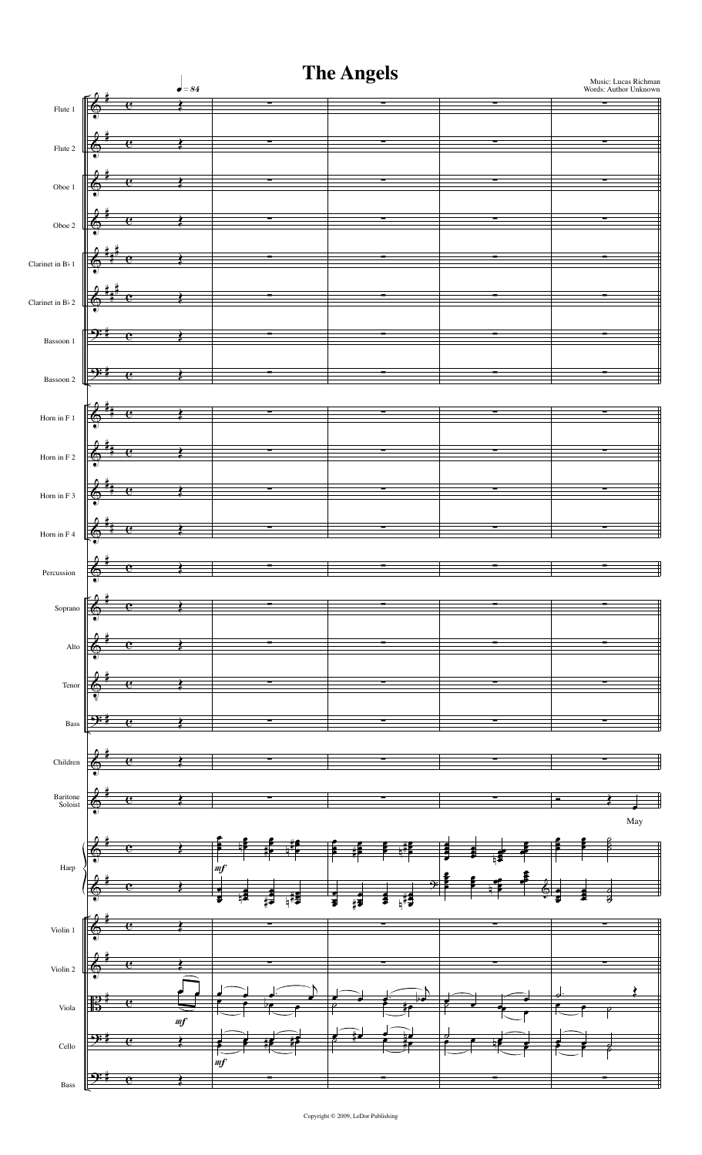## The Angels



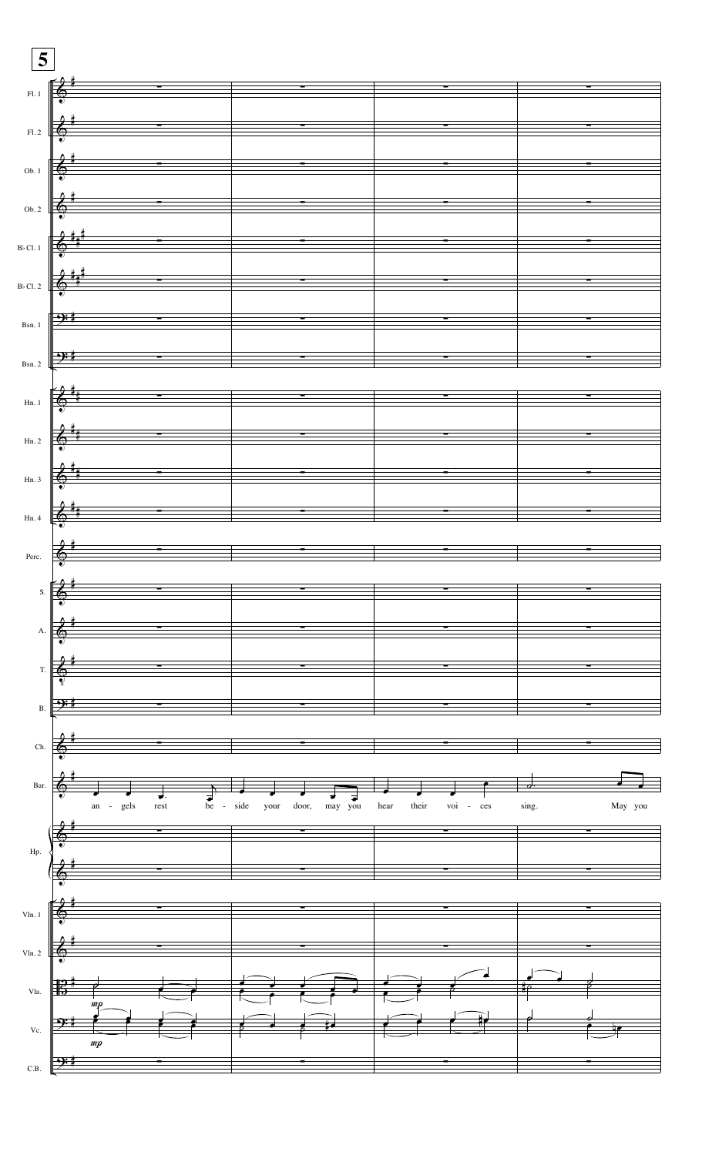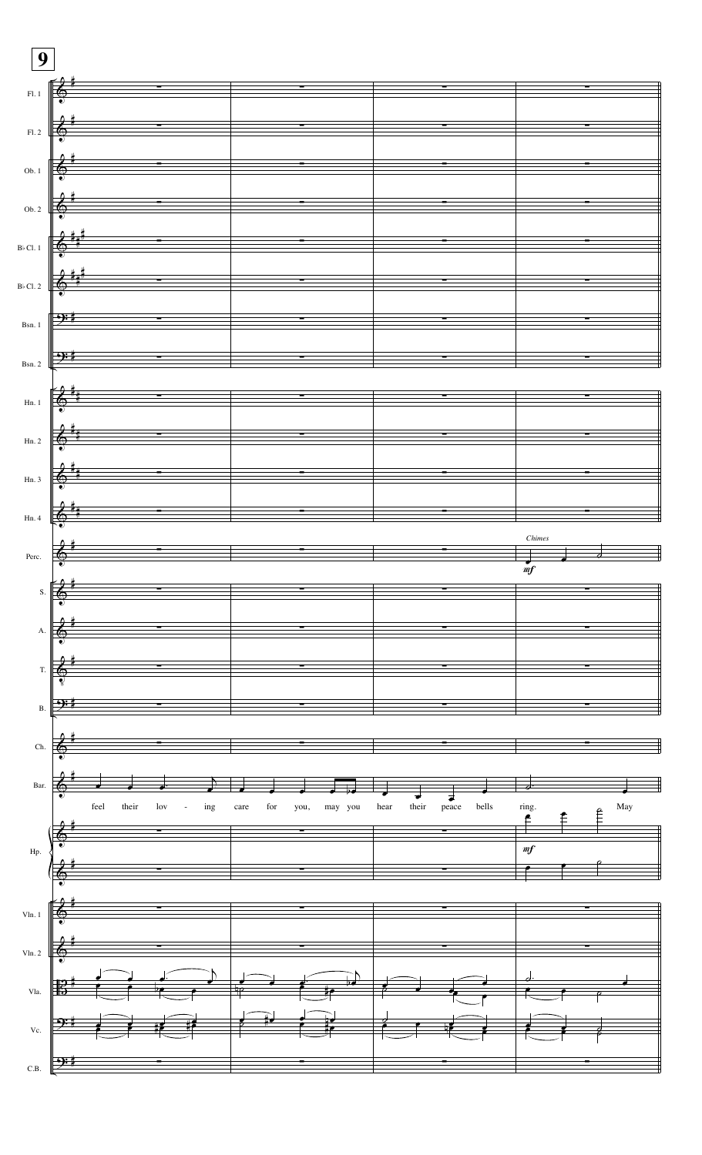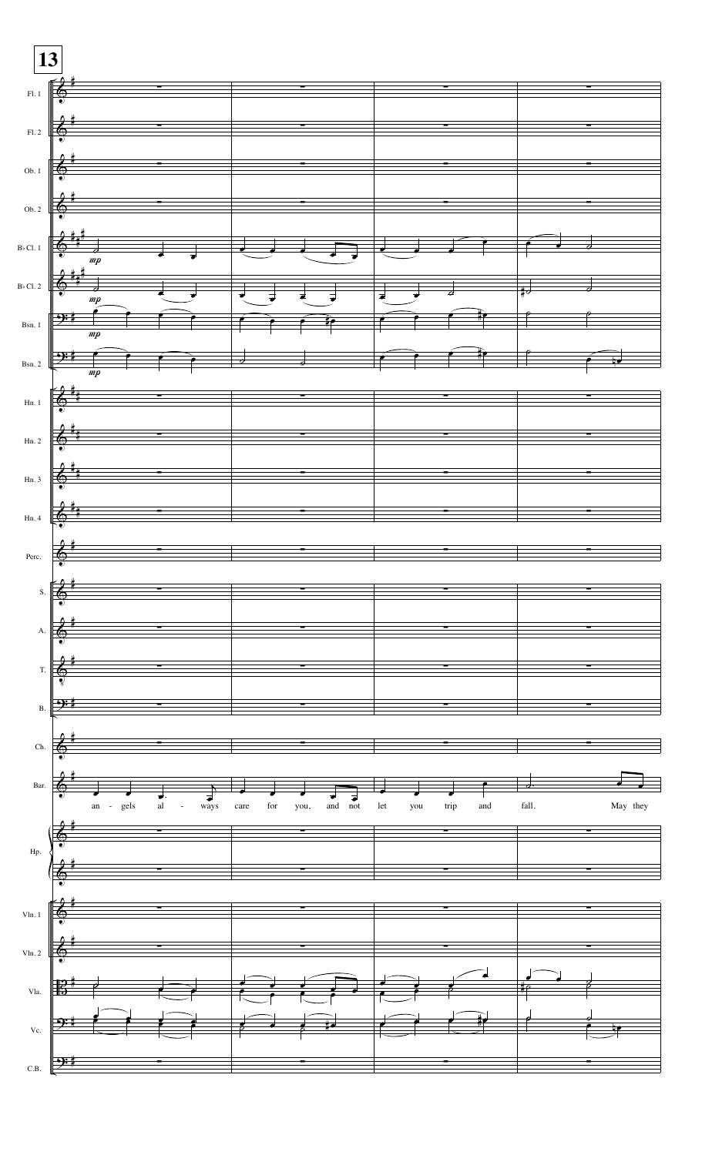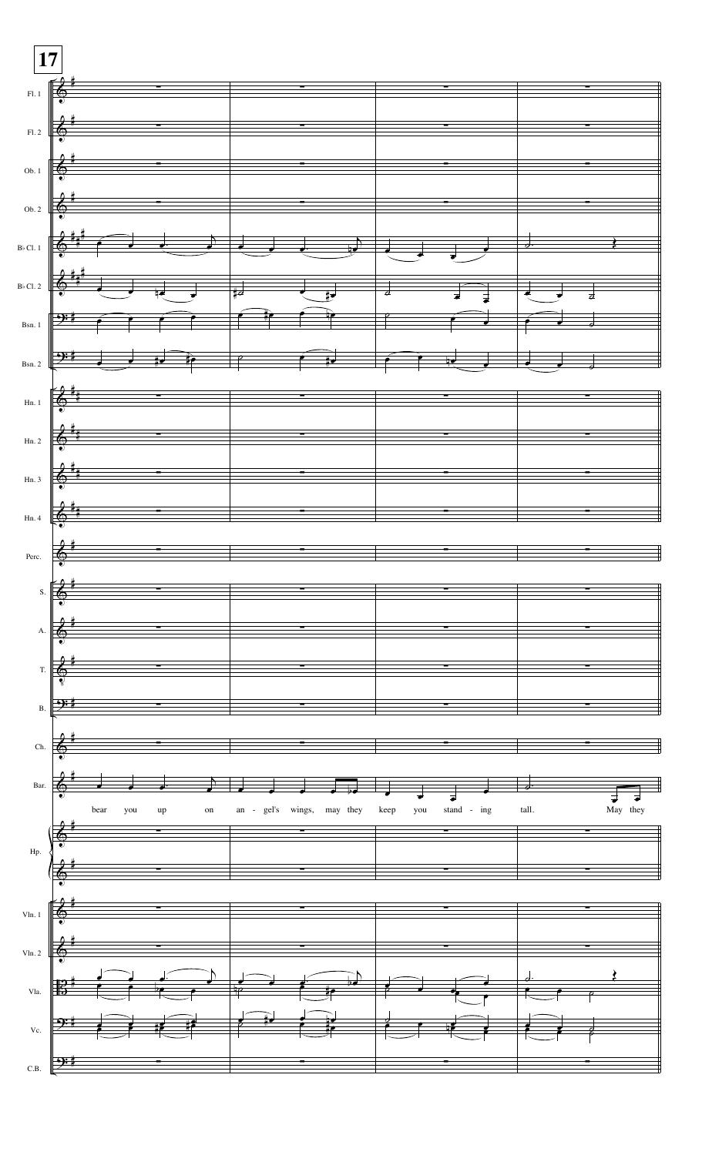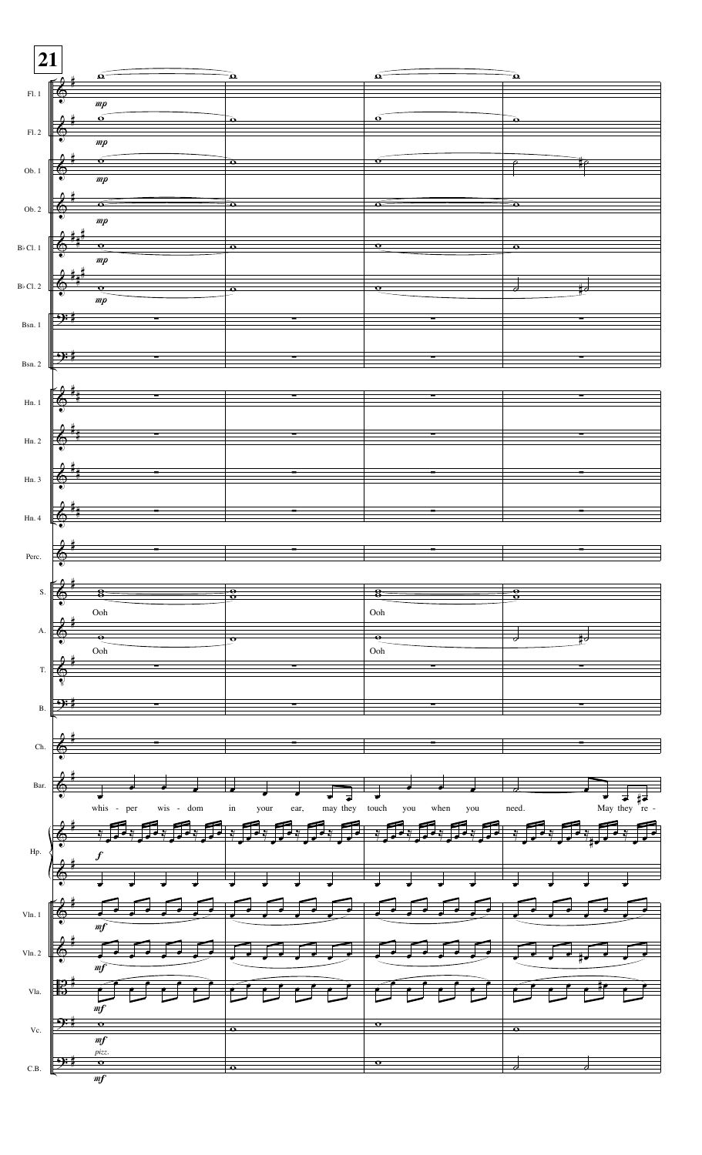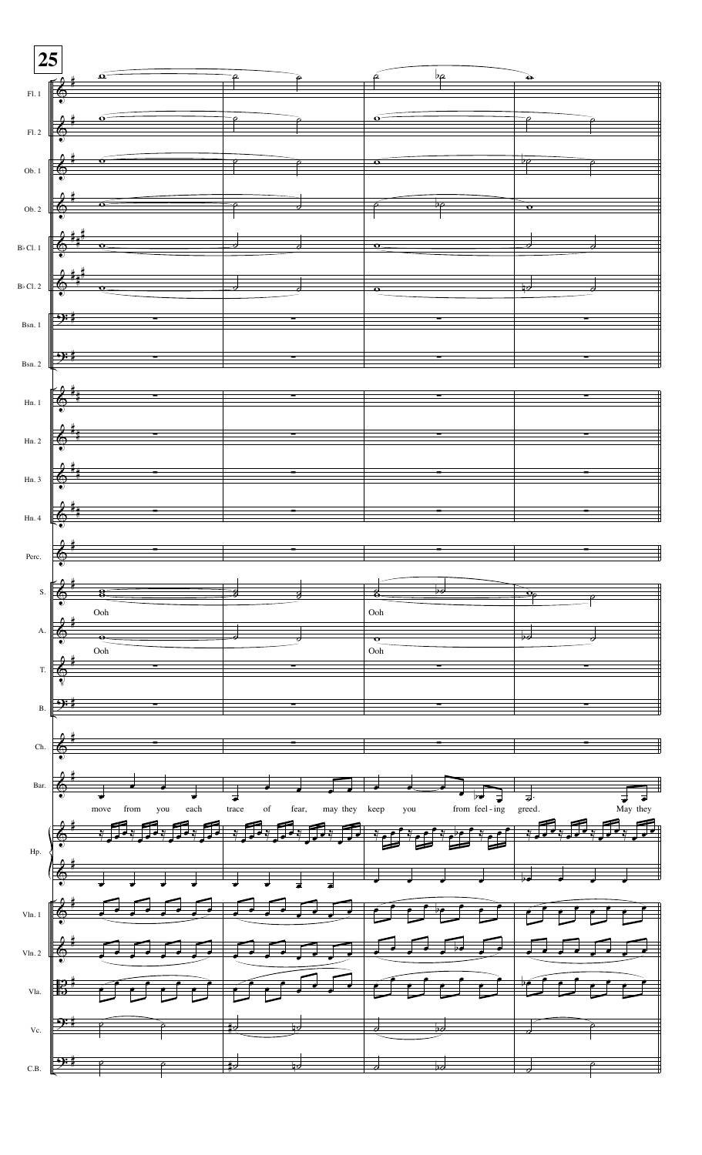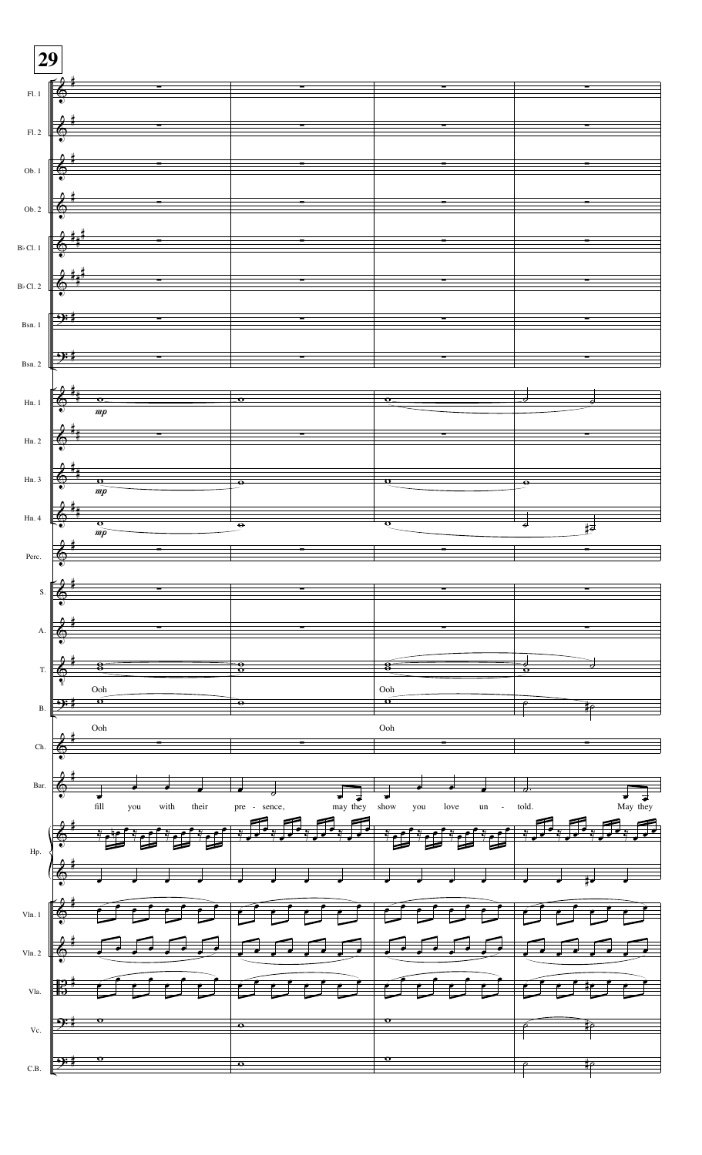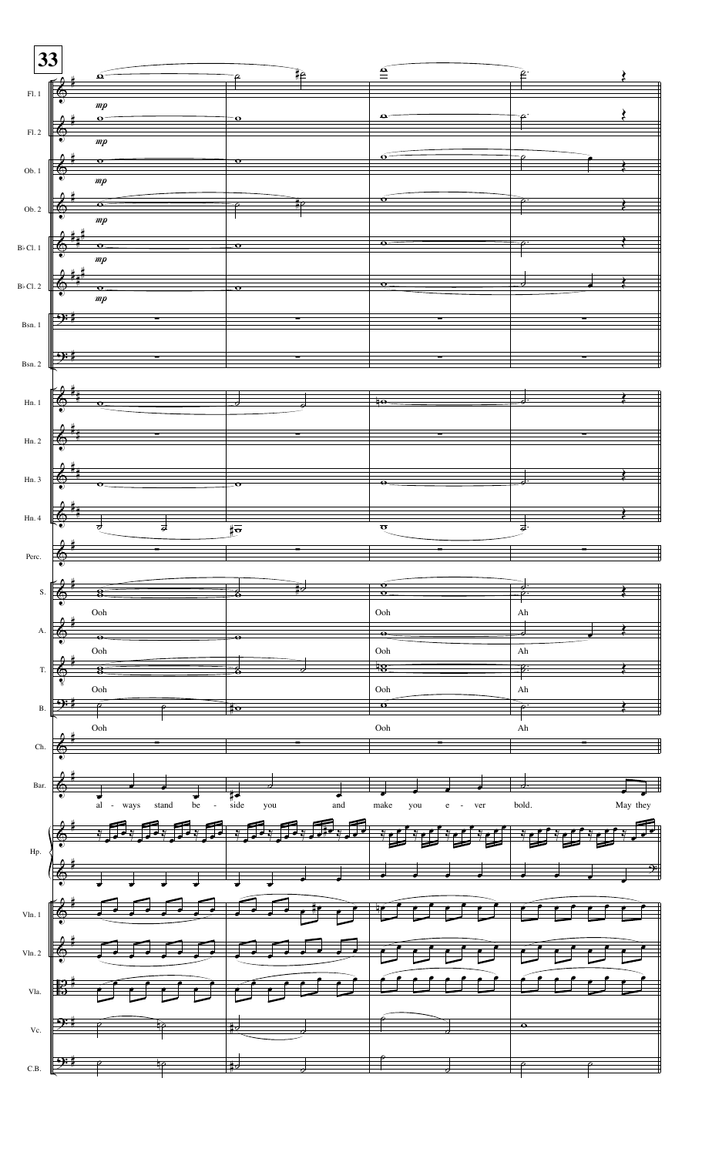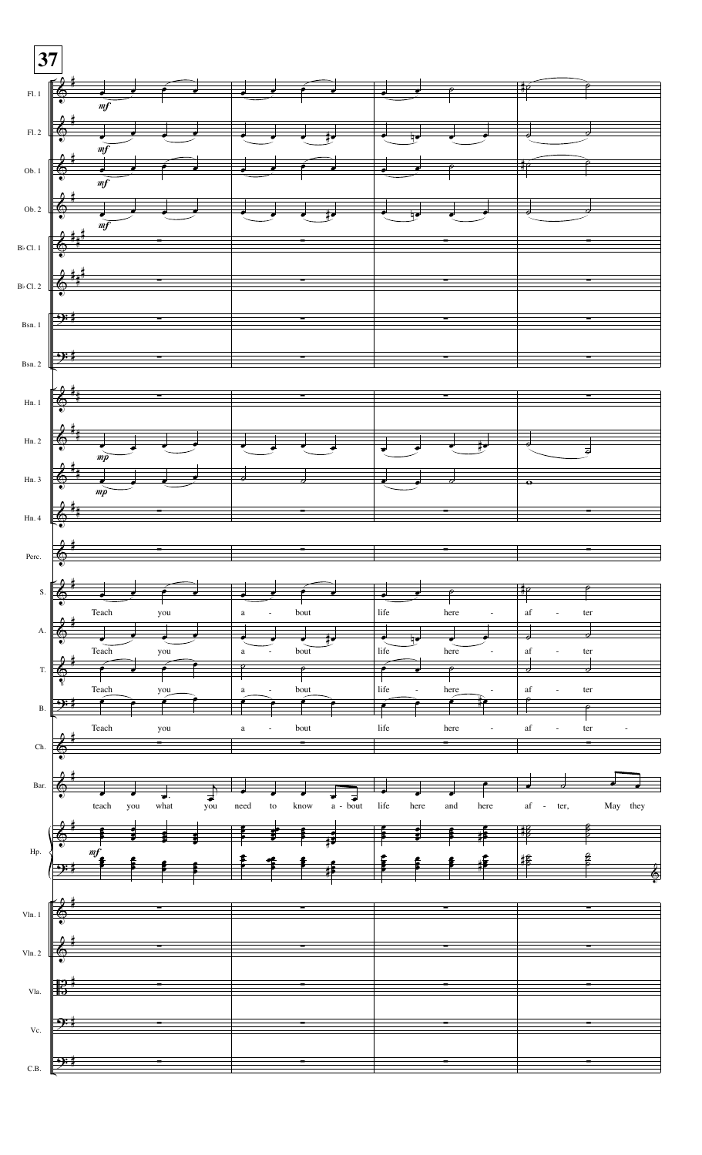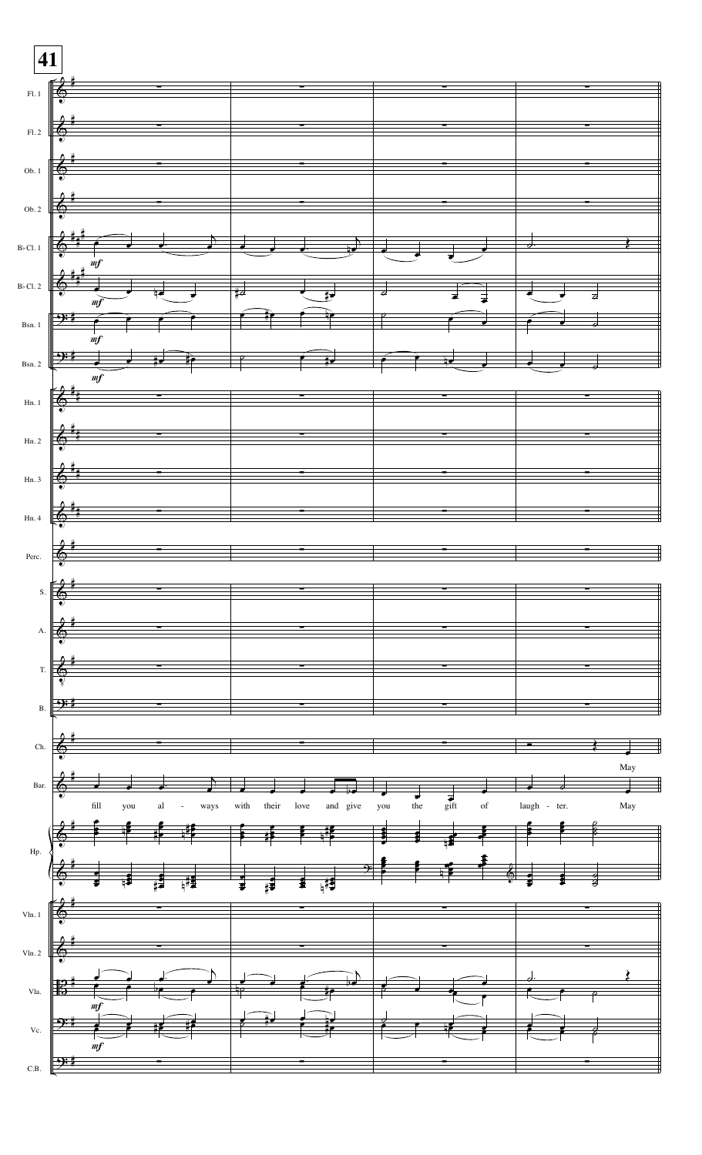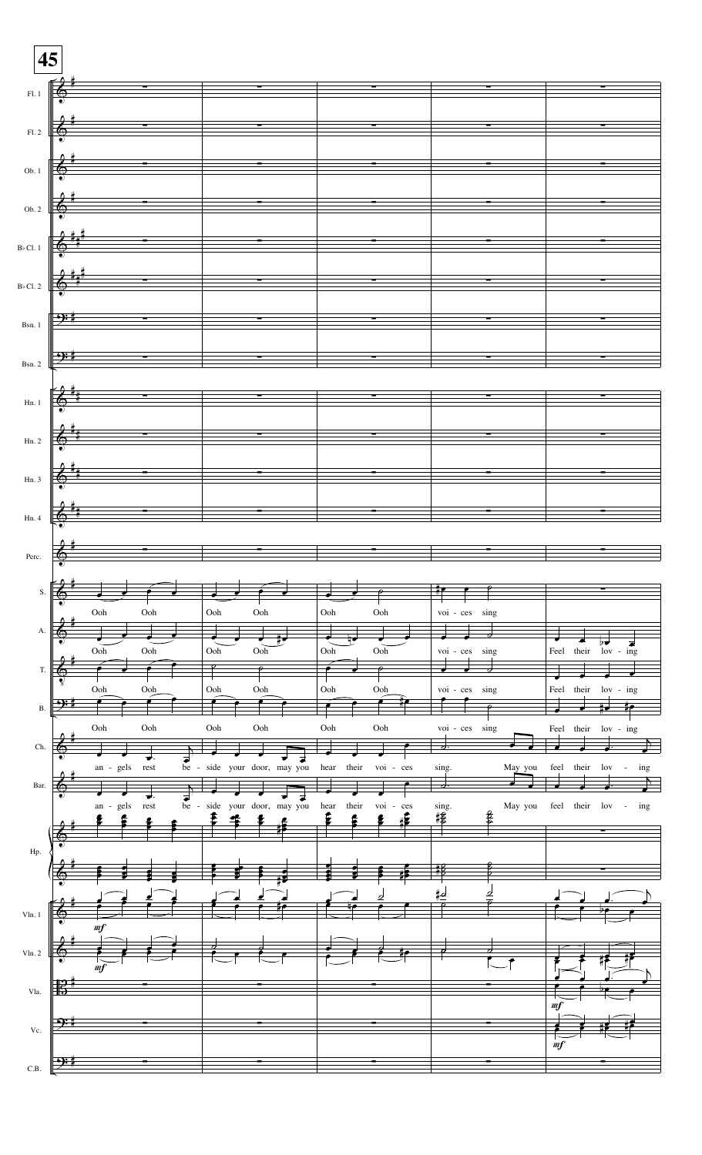| 45            |      |                                                                                                                                                                                                                                                                                                                                                                                                                                                                                                                                                                                                                                                  |                                                      |                                             |                                                |
|---------------|------|--------------------------------------------------------------------------------------------------------------------------------------------------------------------------------------------------------------------------------------------------------------------------------------------------------------------------------------------------------------------------------------------------------------------------------------------------------------------------------------------------------------------------------------------------------------------------------------------------------------------------------------------------|------------------------------------------------------|---------------------------------------------|------------------------------------------------|
| F1.1          |      |                                                                                                                                                                                                                                                                                                                                                                                                                                                                                                                                                                                                                                                  |                                                      |                                             |                                                |
|               |      |                                                                                                                                                                                                                                                                                                                                                                                                                                                                                                                                                                                                                                                  |                                                      |                                             |                                                |
|               |      | $\begin{array}{ c c c c c }\hline \begin{array}{ccc} \bullet & \bullet & \bullet & \bullet & \bullet & \bullet \end{array} & \begin{array}{c} \bullet & \bullet & \bullet & \bullet & \bullet \end{array} & \begin{array}{c} \bullet & \bullet & \bullet & \bullet & \bullet \end{array} & \begin{array}{c} \bullet & \bullet & \bullet & \bullet & \bullet \end{array} & \begin{array}{c} \bullet & \bullet & \bullet & \bullet & \bullet \end{array} & \begin{array}{c} \bullet & \bullet & \bullet & \bullet & \bullet \end{array} & \begin{array}{c} \bullet & \bullet & \bullet & \bullet & \bullet \end{array} & \begin{array}{c} \bullet$ |                                                      |                                             |                                                |
|               |      |                                                                                                                                                                                                                                                                                                                                                                                                                                                                                                                                                                                                                                                  |                                                      |                                             |                                                |
|               |      |                                                                                                                                                                                                                                                                                                                                                                                                                                                                                                                                                                                                                                                  |                                                      |                                             |                                                |
|               |      |                                                                                                                                                                                                                                                                                                                                                                                                                                                                                                                                                                                                                                                  |                                                      |                                             |                                                |
|               |      | $\frac{2}{3}$                                                                                                                                                                                                                                                                                                                                                                                                                                                                                                                                                                                                                                    |                                                      |                                             |                                                |
|               |      |                                                                                                                                                                                                                                                                                                                                                                                                                                                                                                                                                                                                                                                  |                                                      |                                             |                                                |
|               |      | $B^{\downarrow}$ Cl. 1 $\bigotimes^{\frac{\mu}{2} \frac{\mu}{2}}$                                                                                                                                                                                                                                                                                                                                                                                                                                                                                                                                                                                |                                                      |                                             |                                                |
|               |      |                                                                                                                                                                                                                                                                                                                                                                                                                                                                                                                                                                                                                                                  |                                                      |                                             |                                                |
|               |      | $B \triangleright C1.2$ $\theta + \frac{4}{3}$                                                                                                                                                                                                                                                                                                                                                                                                                                                                                                                                                                                                   |                                                      | $\overline{\phantom{a}}$                    |                                                |
|               |      |                                                                                                                                                                                                                                                                                                                                                                                                                                                                                                                                                                                                                                                  |                                                      |                                             |                                                |
|               |      |                                                                                                                                                                                                                                                                                                                                                                                                                                                                                                                                                                                                                                                  |                                                      |                                             |                                                |
|               |      | $B_{\rm Sn.1}$ $\frac{9:1}{1}$                                                                                                                                                                                                                                                                                                                                                                                                                                                                                                                                                                                                                   |                                                      |                                             |                                                |
|               |      |                                                                                                                                                                                                                                                                                                                                                                                                                                                                                                                                                                                                                                                  |                                                      |                                             |                                                |
|               |      | $\frac{1}{2}$ $\frac{1}{2}$ $\frac{1}{2}$ $\frac{1}{2}$ $\frac{1}{2}$ $\frac{1}{2}$ $\frac{1}{2}$ $\frac{1}{2}$ $\frac{1}{2}$ $\frac{1}{2}$ $\frac{1}{2}$ $\frac{1}{2}$ $\frac{1}{2}$ $\frac{1}{2}$ $\frac{1}{2}$ $\frac{1}{2}$ $\frac{1}{2}$ $\frac{1}{2}$ $\frac{1}{2}$ $\frac{1}{2}$ $\frac{1}{2}$ $\frac{1}{2}$                                                                                                                                                                                                                                                                                                                              |                                                      |                                             |                                                |
|               |      | Hn.1                                                                                                                                                                                                                                                                                                                                                                                                                                                                                                                                                                                                                                             |                                                      |                                             |                                                |
|               |      |                                                                                                                                                                                                                                                                                                                                                                                                                                                                                                                                                                                                                                                  |                                                      |                                             |                                                |
|               |      |                                                                                                                                                                                                                                                                                                                                                                                                                                                                                                                                                                                                                                                  |                                                      |                                             |                                                |
|               |      | 87                                                                                                                                                                                                                                                                                                                                                                                                                                                                                                                                                                                                                                               |                                                      |                                             |                                                |
|               |      |                                                                                                                                                                                                                                                                                                                                                                                                                                                                                                                                                                                                                                                  |                                                      |                                             |                                                |
|               |      |                                                                                                                                                                                                                                                                                                                                                                                                                                                                                                                                                                                                                                                  |                                                      |                                             |                                                |
|               |      |                                                                                                                                                                                                                                                                                                                                                                                                                                                                                                                                                                                                                                                  |                                                      |                                             |                                                |
| $\frac{2}{6}$ |      |                                                                                                                                                                                                                                                                                                                                                                                                                                                                                                                                                                                                                                                  |                                                      |                                             |                                                |
|               |      |                                                                                                                                                                                                                                                                                                                                                                                                                                                                                                                                                                                                                                                  |                                                      |                                             |                                                |
|               |      | $\&$ $\qquad$ $\qquad$ $\qquad$ $\qquad$ $\qquad$ $\qquad$ $\qquad$ $\qquad$ $\qquad$ $\qquad$ $\qquad$ $\qquad$ $\qquad$ $\qquad$ $\qquad$ $\qquad$ $\qquad$ $\qquad$ $\qquad$ $\qquad$ $\qquad$ $\qquad$ $\qquad$ $\qquad$ $\qquad$ $\qquad$ $\qquad$ $\qquad$ $\qquad$ $\qquad$ $\qquad$ $\qquad$ $\qquad$ $\qquad$ $\qquad$ $\qquad$                                                                                                                                                                                                                                                                                                         |                                                      |                                             |                                                |
|               |      |                                                                                                                                                                                                                                                                                                                                                                                                                                                                                                                                                                                                                                                  |                                                      |                                             |                                                |
|               |      |                                                                                                                                                                                                                                                                                                                                                                                                                                                                                                                                                                                                                                                  |                                                      |                                             |                                                |
| Ooh           | Ooh  | Ooh<br>Ooh                                                                                                                                                                                                                                                                                                                                                                                                                                                                                                                                                                                                                                       | Ooh<br>Ooh                                           | voi - ces sing                              |                                                |
|               |      |                                                                                                                                                                                                                                                                                                                                                                                                                                                                                                                                                                                                                                                  |                                                      |                                             |                                                |
| Ooh           | Ooh  | Ooh<br>Ooh                                                                                                                                                                                                                                                                                                                                                                                                                                                                                                                                                                                                                                       | Ooh<br>Ooh                                           | $\overline{voi}$ - $\overline{ces}$<br>sing | their<br>Feel<br>$\frac{1}{\sqrt{2}}$ ov - ing |
|               |      |                                                                                                                                                                                                                                                                                                                                                                                                                                                                                                                                                                                                                                                  |                                                      |                                             |                                                |
| Ooh           | Ooh  | Ooh<br>Ooh                                                                                                                                                                                                                                                                                                                                                                                                                                                                                                                                                                                                                                       | Ooh<br>Ooh                                           | voi - ces sing                              | Feel their lov - ing                           |
|               |      |                                                                                                                                                                                                                                                                                                                                                                                                                                                                                                                                                                                                                                                  |                                                      |                                             |                                                |
| Ooh           | Ooh  | Ooh<br>Ooh                                                                                                                                                                                                                                                                                                                                                                                                                                                                                                                                                                                                                                       | Ooh<br>Ooh                                           | voi - ces sing                              | Feel their lov - ing                           |
|               |      |                                                                                                                                                                                                                                                                                                                                                                                                                                                                                                                                                                                                                                                  |                                                      |                                             |                                                |
| an - gels     | rest | be - side your door, may you                                                                                                                                                                                                                                                                                                                                                                                                                                                                                                                                                                                                                     | hear<br>their<br>$\overline{voi}$ - $\overline{ces}$ | sing.<br>May you                            | feel<br>their<br>lov                           |
|               |      |                                                                                                                                                                                                                                                                                                                                                                                                                                                                                                                                                                                                                                                  |                                                      |                                             |                                                |
| an - gels     | rest | be - side your door, may you                                                                                                                                                                                                                                                                                                                                                                                                                                                                                                                                                                                                                     | their<br>hear<br>$\overline{voi}$ - ces              | May you<br>sing.                            | feel their lov<br>$\sim$                       |
|               |      |                                                                                                                                                                                                                                                                                                                                                                                                                                                                                                                                                                                                                                                  |                                                      | ई<br>樼                                      |                                                |
|               |      |                                                                                                                                                                                                                                                                                                                                                                                                                                                                                                                                                                                                                                                  |                                                      |                                             |                                                |
|               |      |                                                                                                                                                                                                                                                                                                                                                                                                                                                                                                                                                                                                                                                  |                                                      |                                             |                                                |
|               |      |                                                                                                                                                                                                                                                                                                                                                                                                                                                                                                                                                                                                                                                  |                                                      |                                             |                                                |
|               |      |                                                                                                                                                                                                                                                                                                                                                                                                                                                                                                                                                                                                                                                  |                                                      |                                             |                                                |
|               |      |                                                                                                                                                                                                                                                                                                                                                                                                                                                                                                                                                                                                                                                  |                                                      |                                             |                                                |
| mf            |      |                                                                                                                                                                                                                                                                                                                                                                                                                                                                                                                                                                                                                                                  |                                                      |                                             |                                                |
|               |      |                                                                                                                                                                                                                                                                                                                                                                                                                                                                                                                                                                                                                                                  |                                                      |                                             |                                                |
| mf            |      |                                                                                                                                                                                                                                                                                                                                                                                                                                                                                                                                                                                                                                                  |                                                      |                                             |                                                |
|               |      |                                                                                                                                                                                                                                                                                                                                                                                                                                                                                                                                                                                                                                                  |                                                      |                                             |                                                |
|               |      |                                                                                                                                                                                                                                                                                                                                                                                                                                                                                                                                                                                                                                                  |                                                      |                                             |                                                |
|               |      |                                                                                                                                                                                                                                                                                                                                                                                                                                                                                                                                                                                                                                                  |                                                      |                                             | m f                                            |
|               |      |                                                                                                                                                                                                                                                                                                                                                                                                                                                                                                                                                                                                                                                  |                                                      |                                             |                                                |
|               |      |                                                                                                                                                                                                                                                                                                                                                                                                                                                                                                                                                                                                                                                  |                                                      |                                             |                                                |
|               |      |                                                                                                                                                                                                                                                                                                                                                                                                                                                                                                                                                                                                                                                  |                                                      |                                             | m f                                            |

 $\Gamma$ 

L.